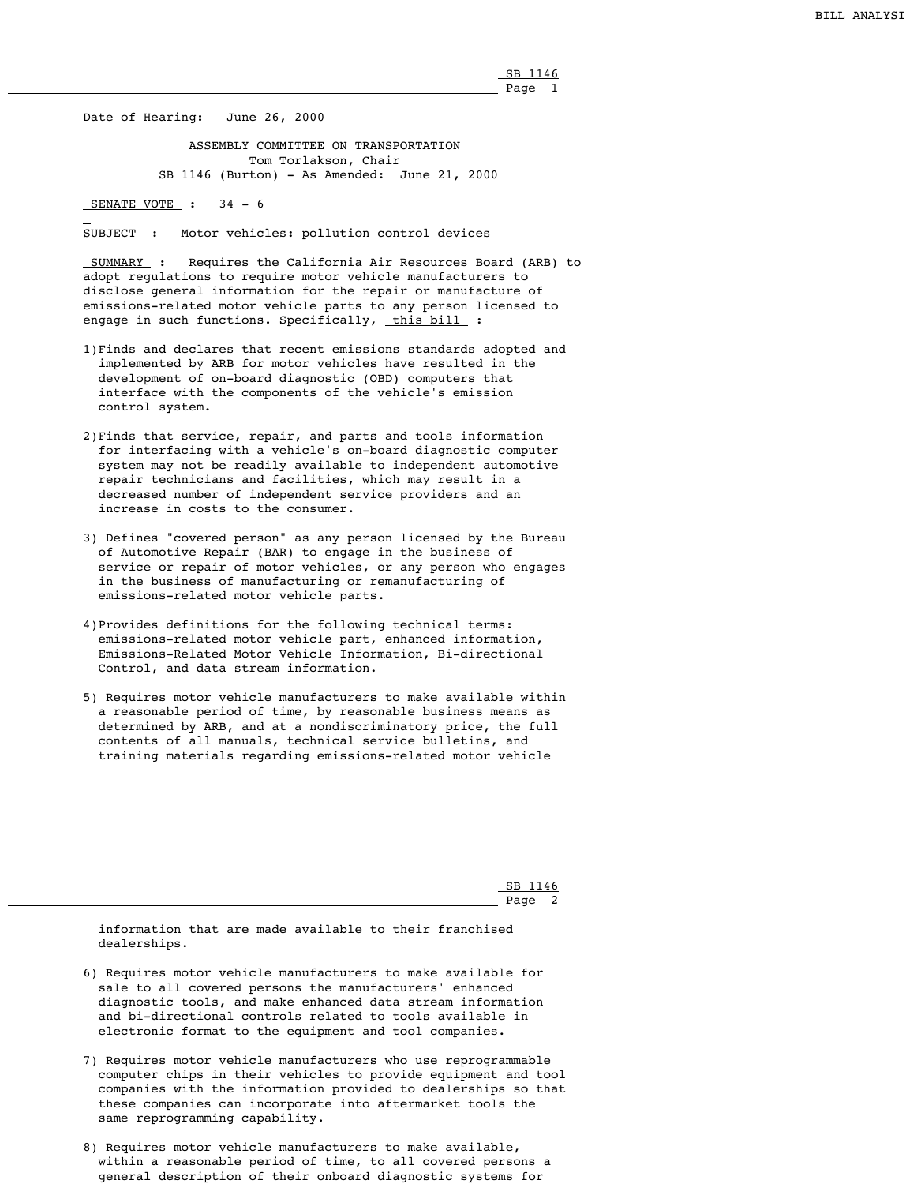SB 1146 Page 1

Date of Hearing: June 26, 2000

 ASSEMBLY COMMITTEE ON TRANSPORTATION Tom Torlakson, Chair SB 1146 (Burton) - As Amended: June 21, 2000

SENATE VOTE : 34 - 6

 SUMMARY : Requires the California Air Resources Board (ARB) to adopt regulations to require motor vehicle manufacturers to disclose general information for the repair or manufacture of emissions-related motor vehicle parts to any person licensed to engage in such functions. Specifically, this bill :

SUBJECT : Motor vehicles: pollution control devices

 SB 1146 Page.

- 1)Finds and declares that recent emissions standards adopted and implemented by ARB for motor vehicles have resulted in the development of on-board diagnostic (OBD) computers that interface with the components of the vehicle's emission control system.
- 2)Finds that service, repair, and parts and tools information for interfacing with a vehicle's on-board diagnostic computer system may not be readily available to independent automotive repair technicians and facilities, which may result in a decreased number of independent service providers and an increase in costs to the consumer.
- 3) Defines "covered person" as any person licensed by the Bureau of Automotive Repair (BAR) to engage in the business of service or repair of motor vehicles, or any person who engages in the business of manufacturing or remanufacturing of emissions-related motor vehicle parts.
- 4)Provides definitions for the following technical terms: emissions-related motor vehicle part, enhanced information, Emissions-Related Motor Vehicle Information, Bi-directional Control, and data stream information.
- 5) Requires motor vehicle manufacturers to make available within a reasonable period of time, by reasonable business means as determined by ARB, and at a nondiscriminatory price, the full contents of all manuals, technical service bulletins, and training materials regarding emissions-related motor vehicle

 information that are made available to their franchised dealerships.

- 6) Requires motor vehicle manufacturers to make available for sale to all covered persons the manufacturers' enhanced diagnostic tools, and make enhanced data stream information and bi-directional controls related to tools available in electronic format to the equipment and tool companies.
- 7) Requires motor vehicle manufacturers who use reprogrammable computer chips in their vehicles to provide equipment and tool companies with the information provided to dealerships so that these companies can incorporate into aftermarket tools the same reprogramming capability.
- 8) Requires motor vehicle manufacturers to make available, within a reasonable period of time, to all covered persons a general description of their onboard diagnostic systems for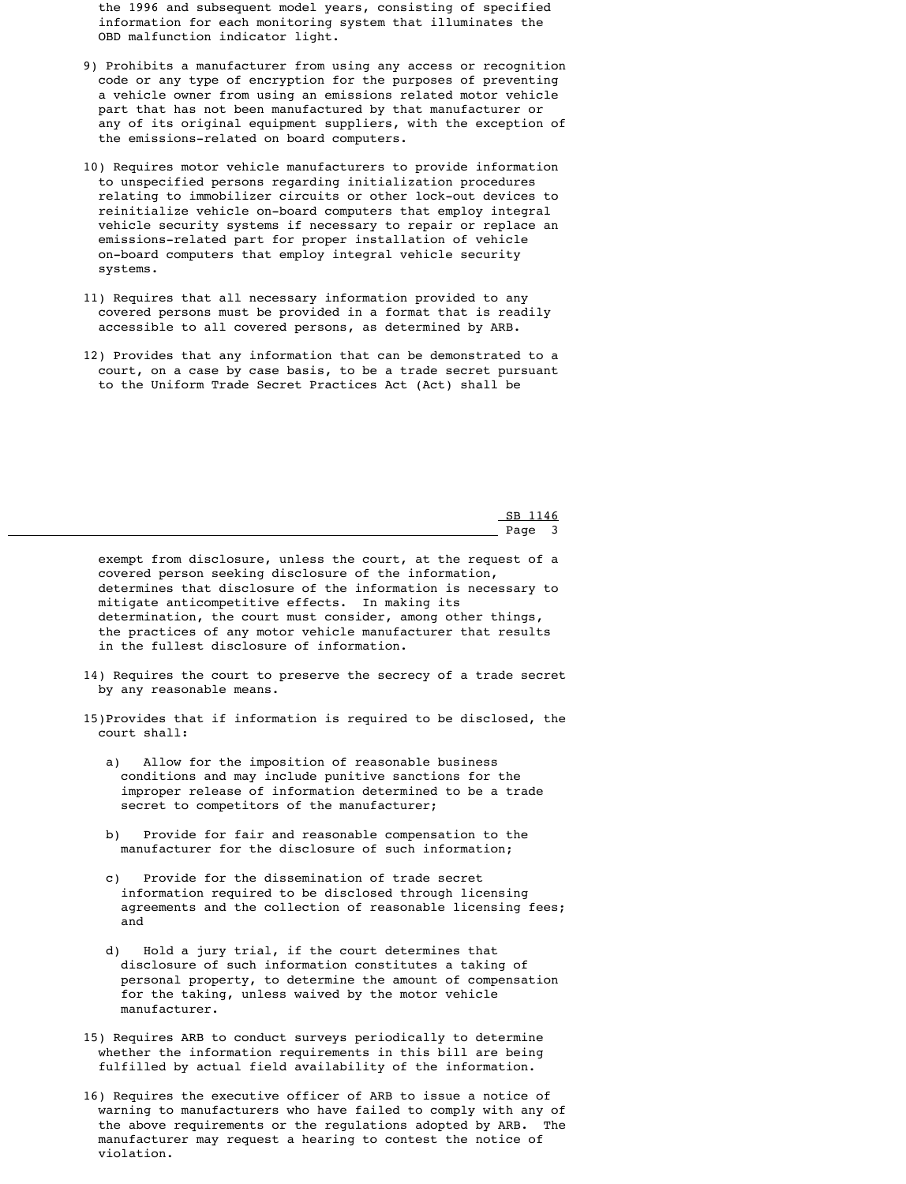the 1996 and subsequent model years, consisting of specified information for each monitoring system that illuminates the OBD malfunction indicator light.

- 9) Prohibits a manufacturer from using any access or recognition code or any type of encryption for the purposes of preventing a vehicle owner from using an emissions related motor vehicle part that has not been manufactured by that manufacturer or any of its original equipment suppliers, with the exception of the emissions-related on board computers.
- 10) Requires motor vehicle manufacturers to provide information to unspecified persons regarding initialization procedures relating to immobilizer circuits or other lock-out devices to reinitialize vehicle on-board computers that employ integral vehicle security systems if necessary to repair or replace an emissions-related part for proper installation of vehicle on-board computers that employ integral vehicle security systems.
- 11) Requires that all necessary information provided to any covered persons must be provided in a format that is readily accessible to all covered persons, as determined by ARB.
- 12) Provides that any information that can be demonstrated to a court, on a case by case basis, to be a trade secret pursuant to the Uniform Trade Secret Practices Act (Act) shall be

 SB 1146 Page 3

> exempt from disclosure, unless the court, at the request of a covered person seeking disclosure of the information, determines that disclosure of the information is necessary to mitigate anticompetitive effects. In making its determination, the court must consider, among other things, the practices of any motor vehicle manufacturer that results in the fullest disclosure of information.

- 14) Requires the court to preserve the secrecy of a trade secret by any reasonable means.
- 15)Provides that if information is required to be disclosed, the court shall:
	- a) Allow for the imposition of reasonable business conditions and may include punitive sanctions for the improper release of information determined to be a trade secret to competitors of the manufacturer;
	- b) Provide for fair and reasonable compensation to the manufacturer for the disclosure of such information;
	- c) Provide for the dissemination of trade secret information required to be disclosed through licensing agreements and the collection of reasonable licensing fees; and
	- d) Hold a jury trial, if the court determines that disclosure of such information constitutes a taking of personal property, to determine the amount of compensation for the taking, unless waived by the motor vehicle manufacturer.
- 15) Requires ARB to conduct surveys periodically to determine whether the information requirements in this bill are being fulfilled by actual field availability of the information.
- 16) Requires the executive officer of ARB to issue a notice of warning to manufacturers who have failed to comply with any of the above requirements or the regulations adopted by ARB. The manufacturer may request a hearing to contest the notice of violation.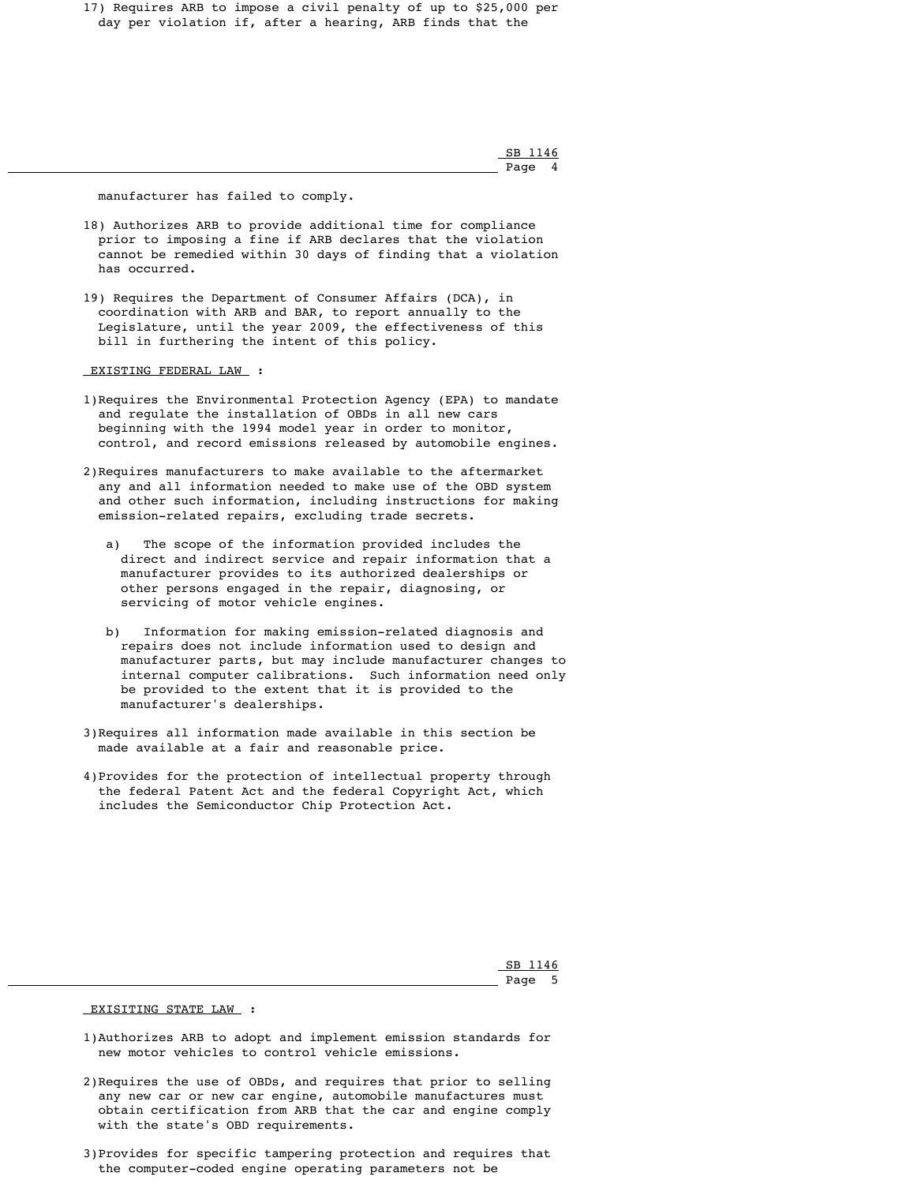17) Requires ARB to impose a civil penalty of up to \$25,000 per day per violation if, after a hearing, ARB finds that the

 SB 1146 Page 4

manufacturer has failed to comply.

- 18) Authorizes ARB to provide additional time for compliance prior to imposing a fine if ARB declares that the violation cannot be remedied within 30 days of finding that a violation has occurred.
- 19) Requires the Department of Consumer Affairs (DCA), in coordination with ARB and BAR, to report annually to the Legislature, until the year 2009, the effectiveness of this bill in furthering the intent of this policy.

EXISTING FEDERAL LAW :

- 1)Requires the Environmental Protection Agency (EPA) to mandate and regulate the installation of OBDs in all new cars beginning with the 1994 model year in order to monitor, control, and record emissions released by automobile engines.
- 2)Requires manufacturers to make available to the aftermarket any and all information needed to make use of the OBD system and other such information, including instructions for making emission-related repairs, excluding trade secrets.
	- a) The scope of the information provided includes the direct and indirect service and repair information that a manufacturer provides to its authorized dealerships or other persons engaged in the repair, diagnosing, or servicing of motor vehicle engines.
	- b) Information for making emission-related diagnosis and repairs does not include information used to design and manufacturer parts, but may include manufacturer changes to internal computer calibrations. Such information need only be provided to the extent that it is provided to the manufacturer's dealerships.
- 3)Requires all information made available in this section be made available at a fair and reasonable price.
- 4)Provides for the protection of intellectual property through the federal Patent Act and the federal Copyright Act, which includes the Semiconductor Chip Protection Act.

 SB 1146 Page 5

## EXISITING STATE LAW :

 1)Authorizes ARB to adopt and implement emission standards for new motor vehicles to control vehicle emissions.

 2)Requires the use of OBDs, and requires that prior to selling any new car or new car engine, automobile manufactures must obtain certification from ARB that the car and engine comply with the state's OBD requirements.

 3)Provides for specific tampering protection and requires that the computer-coded engine operating parameters not be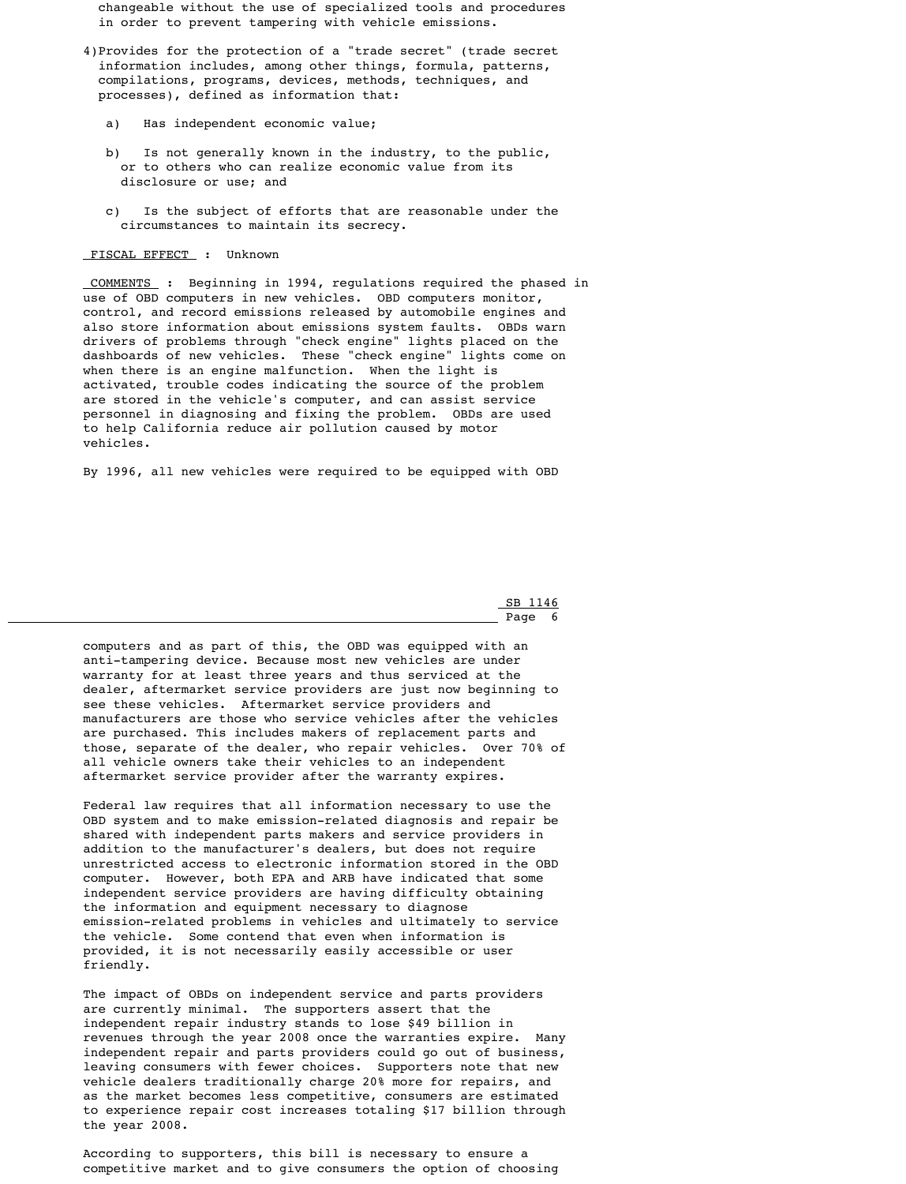changeable without the use of specialized tools and procedures in order to prevent tampering with vehicle emissions.

- 4)Provides for the protection of a "trade secret" (trade secret information includes, among other things, formula, patterns, compilations, programs, devices, methods, techniques, and processes), defined as information that:
	- a) Has independent economic value;
	- b) Is not generally known in the industry, to the public, or to others who can realize economic value from its disclosure or use; and
	- c) Is the subject of efforts that are reasonable under the circumstances to maintain its secrecy.

## FISCAL EFFECT : Unknown

 COMMENTS : Beginning in 1994, regulations required the phased in use of OBD computers in new vehicles. OBD computers monitor, control, and record emissions released by automobile engines and also store information about emissions system faults. OBDs warn drivers of problems through "check engine" lights placed on the dashboards of new vehicles. These "check engine" lights come on when there is an engine malfunction. When the light is activated, trouble codes indicating the source of the problem are stored in the vehicle's computer, and can assist service personnel in diagnosing and fixing the problem. OBDs are used to help California reduce air pollution caused by motor vehicles.

By 1996, all new vehicles were required to be equipped with OBD

 SB 1146 Page 6

> computers and as part of this, the OBD was equipped with an anti-tampering device. Because most new vehicles are under warranty for at least three years and thus serviced at the dealer, aftermarket service providers are just now beginning to see these vehicles. Aftermarket service providers and manufacturers are those who service vehicles after the vehicles are purchased. This includes makers of replacement parts and those, separate of the dealer, who repair vehicles. Over 70% of all vehicle owners take their vehicles to an independent aftermarket service provider after the warranty expires.

 Federal law requires that all information necessary to use the OBD system and to make emission-related diagnosis and repair be shared with independent parts makers and service providers in addition to the manufacturer's dealers, but does not require unrestricted access to electronic information stored in the OBD

 computer. However, both EPA and ARB have indicated that some independent service providers are having difficulty obtaining the information and equipment necessary to diagnose emission-related problems in vehicles and ultimately to service the vehicle. Some contend that even when information is provided, it is not necessarily easily accessible or user friendly.

 The impact of OBDs on independent service and parts providers are currently minimal. The supporters assert that the independent repair industry stands to lose \$49 billion in revenues through the year 2008 once the warranties expire. Many independent repair and parts providers could go out of business, leaving consumers with fewer choices. Supporters note that new vehicle dealers traditionally charge 20% more for repairs, and as the market becomes less competitive, consumers are estimated to experience repair cost increases totaling \$17 billion through the year 2008.

 According to supporters, this bill is necessary to ensure a competitive market and to give consumers the option of choosing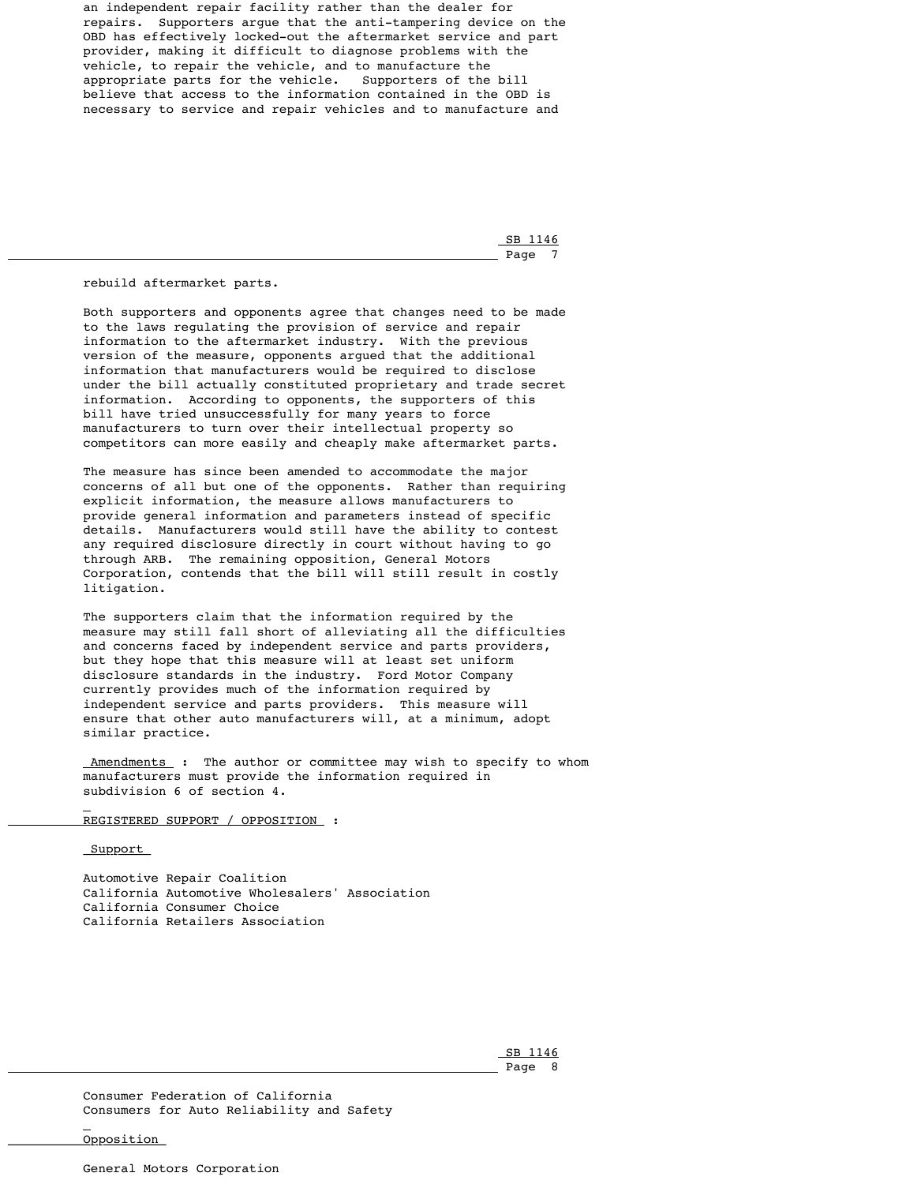an independent repair facility rather than the dealer for repairs. Supporters argue that the anti-tampering device on the OBD has effectively locked-out the aftermarket service and part provider, making it difficult to diagnose problems with the vehicle, to repair the vehicle, and to manufacture the appropriate parts for the vehicle. Supporters of the bill believe that access to the information contained in the OBD is necessary to service and repair vehicles and to manufacture and

 SB 1146 Page 7

rebuild aftermarket parts.

 Both supporters and opponents agree that changes need to be made to the laws regulating the provision of service and repair information to the aftermarket industry. With the previous version of the measure, opponents argued that the additional information that manufacturers would be required to disclose under the bill actually constituted proprietary and trade secret information. According to opponents, the supporters of this bill have tried unsuccessfully for many years to force manufacturers to turn over their intellectual property so competitors can more easily and cheaply make aftermarket parts.

<u>-Amendments</u> : The author or committee may wish to specify to whom manufacturers must provide the information required in subdivision 6 of section 4.

 The measure has since been amended to accommodate the major concerns of all but one of the opponents. Rather than requiring explicit information, the measure allows manufacturers to provide general information and parameters instead of specific details. Manufacturers would still have the ability to contest any required disclosure directly in court without having to go through ARB. The remaining opposition, General Motors Corporation, contends that the bill will still result in costly litigation.

 The supporters claim that the information required by the measure may still fall short of alleviating all the difficulties and concerns faced by independent service and parts providers, but they hope that this measure will at least set uniform disclosure standards in the industry. Ford Motor Company currently provides much of the information required by independent service and parts providers. This measure will ensure that other auto manufacturers will, at a minimum, adopt similar practice.

REGISTERED SUPPORT / OPPOSITION :

<u>Support</u>

 Automotive Repair Coalition California Automotive Wholesalers' Association California Consumer Choice California Retailers Association

 SB 1146 Page 8

> Consumer Federation of California Consumers for Auto Reliability and Safety

Opposition

General Motors Corporation